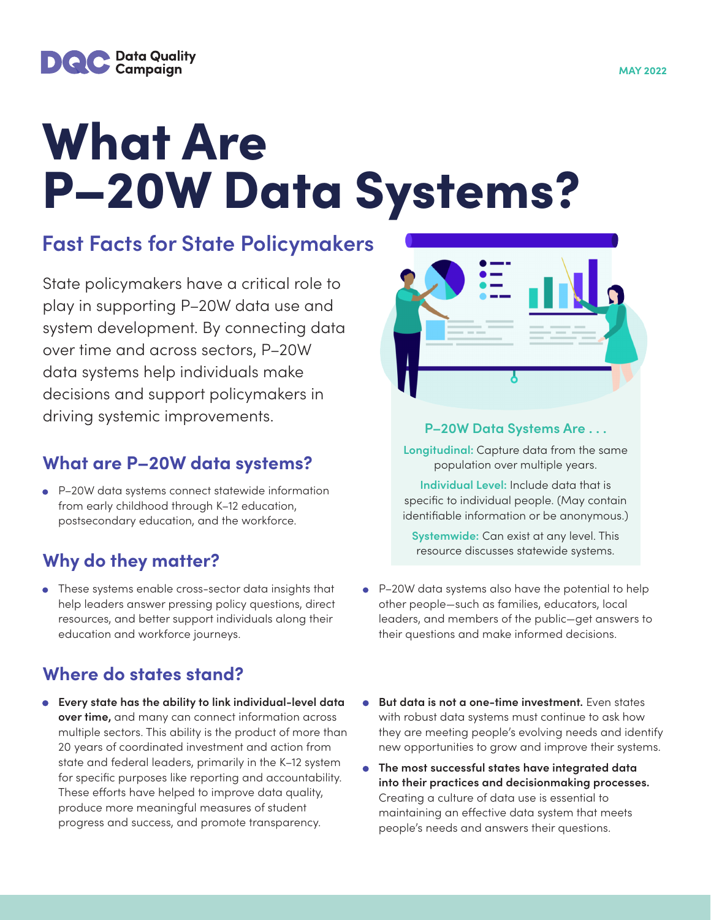

# What Are P–20W Data Systems?

# **Fast Facts for State Policymakers**

State policymakers have a critical role to play in supporting P–20W data use and system development. By connecting data over time and across sectors, P–20W data systems help individuals make decisions and support policymakers in driving systemic improvements.

#### **What are P–20W data systems?**

• P–20W data systems connect statewide information from early childhood through K–12 education, postsecondary education, and the workforce.

## **Why do they matter?**

• These systems enable cross-sector data insights that help leaders answer pressing policy questions, direct resources, and better support individuals along their education and workforce journeys.

## **Where do states stand?**

**• Every state has the ability to link individual-level data over time,** and many can connect information across multiple sectors. This ability is the product of more than 20 years of coordinated investment and action from state and federal leaders, primarily in the K–12 system for specific purposes like reporting and accountability. These efforts have helped to improve data quality, produce more meaningful measures of student progress and success, and promote transparency.



#### **P–20W Data Systems Are . . .**

**Longitudinal:** Capture data from the same population over multiple years.

**Individual Level:** Include data that is specific to individual people. (May contain identifiable information or be anonymous.)

**Systemwide:** Can exist at any level. This resource discusses statewide systems.

- P–20W data systems also have the potential to help other people—such as families, educators, local leaders, and members of the public—get answers to their questions and make informed decisions.
- **But data is not a one-time investment.** Even states with robust data systems must continue to ask how they are meeting people's evolving needs and identify new opportunities to grow and improve their systems.
- **The most successful states have integrated data into their practices and decisionmaking processes.** Creating a culture of data use is essential to maintaining an effective data system that meets people's needs and answers their questions.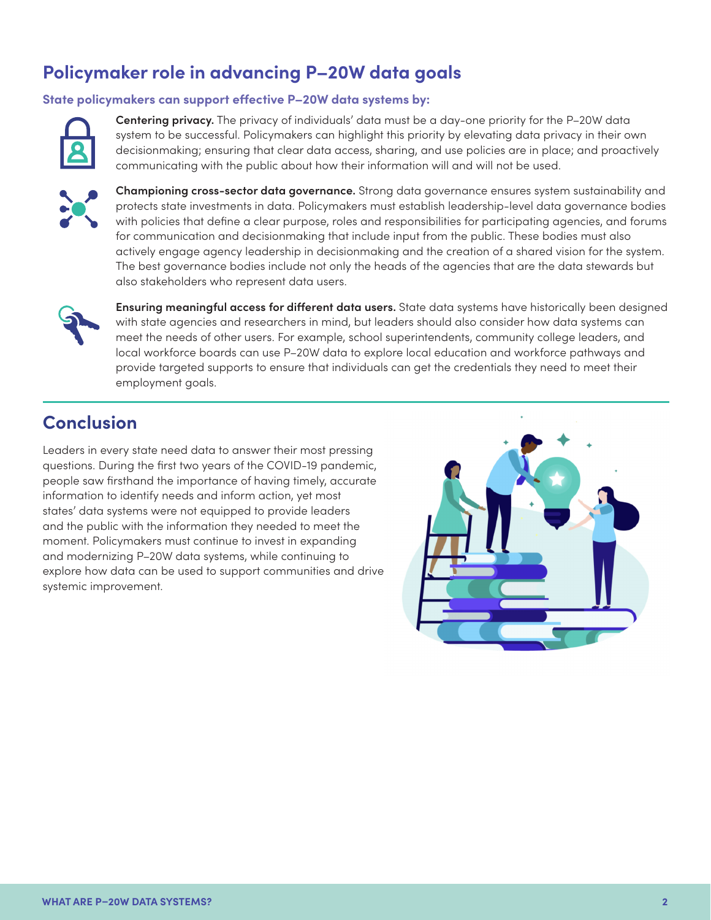## **Policymaker role in advancing P–20W data goals**

#### **State policymakers can support effective P–20W data systems by:**



**Centering privacy.** The privacy of individuals' data must be a day-one priority for the P–20W data system to be successful. Policymakers can highlight this priority by elevating data privacy in their own decisionmaking; ensuring that clear data access, sharing, and use policies are in place; and proactively communicating with the public about how their information will and will not be used.



**Championing cross-sector data governance.** Strong data governance ensures system sustainability and protects state investments in data. Policymakers must establish leadership-level data governance bodies with policies that define a clear purpose, roles and responsibilities for participating agencies, and forums for communication and decisionmaking that include input from the public. These bodies must also actively engage agency leadership in decisionmaking and the creation of a shared vision for the system. The best governance bodies include not only the heads of the agencies that are the data stewards but also stakeholders who represent data users.



**Ensuring meaningful access for different data users.** State data systems have historically been designed with state agencies and researchers in mind, but leaders should also consider how data systems can meet the needs of other users. For example, school superintendents, community college leaders, and local workforce boards can use P–20W data to explore local education and workforce pathways and provide targeted supports to ensure that individuals can get the credentials they need to meet their employment goals.

## **Conclusion**

Leaders in every state need data to answer their most pressing questions. During the first two years of the COVID-19 pandemic, people saw firsthand the importance of having timely, accurate information to identify needs and inform action, yet most states' data systems were not equipped to provide leaders and the public with the information they needed to meet the moment. Policymakers must continue to invest in expanding and modernizing P–20W data systems, while continuing to explore how data can be used to support communities and drive systemic improvement.